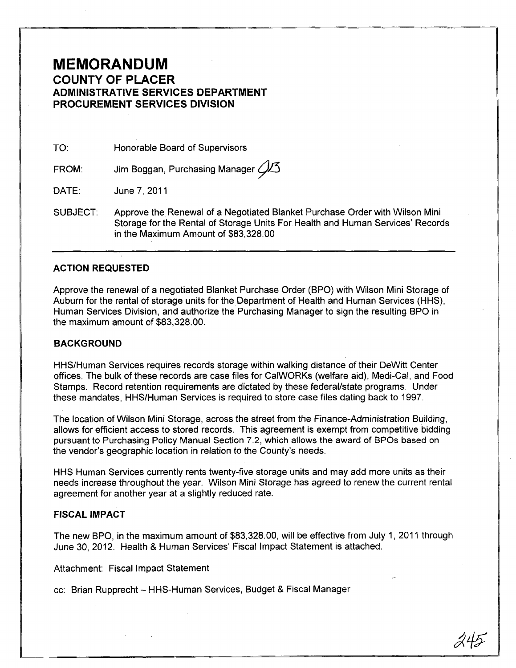## **MEMORANDUM COUNTY OF PLACER ADMINISTRATIVE SERVICES DEPARTMENT PROCUREMENT SERVICES DIVISION**

TO: Honorable Board of Supervisors

FROM: Jim Boggan, Purchasing Manager  $\cancel{\mathcal{A}}$ 3

DATE: June 7,2011

SUBJECT: Approve the Renewal of a Negotiated Blanket Purchase Order with Wilson Mini Storage for the Rental of Storage Units For Health and Human Services' Records in the Maximum Amount of \$83,328.00

## **ACTION REQUESTED**

Approve the renewal of a negotiated Blanket Purchase Order (SPO) with Wilson Mini Storage of Auburn for the rental of storage units for the Department of Health and Human Services (HHS), Human Services Division, and authorize the Purchasing Manager to sign the resulting SPO in the maximum amount of \$83,328.00.

#### **BACKGROUND**

HHS/Human Services requires records storage within walking distance of their DeWitt Center offices. The bulk of these records are case files for CalWORKs (welfare aid), Medi-Cal, and Food Stamps. Record retention requirements are dictated by these federal/state programs. Under these mandates, HHS/Human Services is required to store case files dating back to 1997.

The location of Wilson Mini Storage, across the street from the Finance-Administration Building, allows for efficient access to stored records. This agreement is exempt from competitive bidding pursuant to Purchasing Policy Manual Section 7.2, which allows the award of SPOs based on the vendor's geographic location in relation to the County's needs.

HHS Human Services currently rents twenty-five storage units and may add more units as their needs increase throughout the year. Wilson Mini Storage has agreed to renew the current rental agreement for another year at a slightly reduced rate.

## FISCAL IMPACT

The new BPO, in the maximum amount of \$83,328.00, will be effective from July 1, 2011 through June 30,2012. Health & Human Services' Fiscal Impact Statement is attached.

Attachment: Fiscal Impact Statement

cc: Brian Rupprecht - HHS-Human Services, Budget & Fiscal Manager